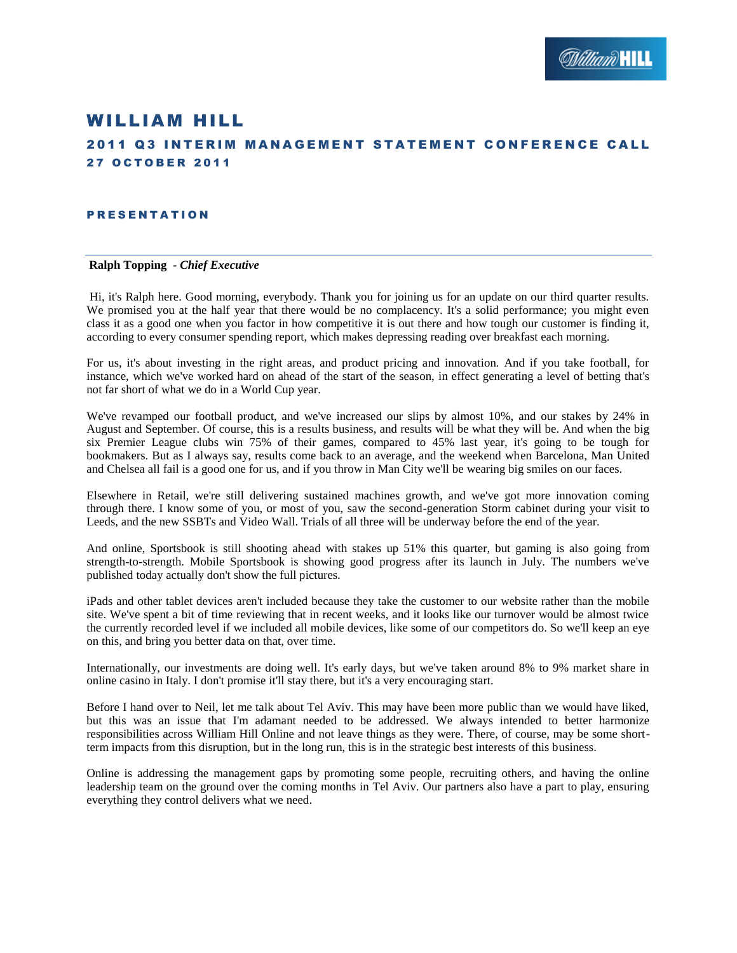# WILLIAM HILL

# **2011 Q3 INTERIM MANAGEMENT STATEMENT CONFERENCE CALL 27 OCTOBER 2011**

#### **PRESENTATION**

### **Ralph Topping** *- Chief Executive*

Hi, it's Ralph here. Good morning, everybody. Thank you for joining us for an update on our third quarter results. We promised you at the half year that there would be no complacency. It's a solid performance; you might even class it as a good one when you factor in how competitive it is out there and how tough our customer is finding it, according to every consumer spending report, which makes depressing reading over breakfast each morning.

For us, it's about investing in the right areas, and product pricing and innovation. And if you take football, for instance, which we've worked hard on ahead of the start of the season, in effect generating a level of betting that's not far short of what we do in a World Cup year.

We've revamped our football product, and we've increased our slips by almost 10%, and our stakes by 24% in August and September. Of course, this is a results business, and results will be what they will be. And when the big six Premier League clubs win 75% of their games, compared to 45% last year, it's going to be tough for bookmakers. But as I always say, results come back to an average, and the weekend when Barcelona, Man United and Chelsea all fail is a good one for us, and if you throw in Man City we'll be wearing big smiles on our faces.

Elsewhere in Retail, we're still delivering sustained machines growth, and we've got more innovation coming through there. I know some of you, or most of you, saw the second-generation Storm cabinet during your visit to Leeds, and the new SSBTs and Video Wall. Trials of all three will be underway before the end of the year.

And online, Sportsbook is still shooting ahead with stakes up 51% this quarter, but gaming is also going from strength-to-strength. Mobile Sportsbook is showing good progress after its launch in July. The numbers we've published today actually don't show the full pictures.

iPads and other tablet devices aren't included because they take the customer to our website rather than the mobile site. We've spent a bit of time reviewing that in recent weeks, and it looks like our turnover would be almost twice the currently recorded level if we included all mobile devices, like some of our competitors do. So we'll keep an eye on this, and bring you better data on that, over time.

Internationally, our investments are doing well. It's early days, but we've taken around 8% to 9% market share in online casino in Italy. I don't promise it'll stay there, but it's a very encouraging start.

Before I hand over to Neil, let me talk about Tel Aviv. This may have been more public than we would have liked, but this was an issue that I'm adamant needed to be addressed. We always intended to better harmonize responsibilities across William Hill Online and not leave things as they were. There, of course, may be some shortterm impacts from this disruption, but in the long run, this is in the strategic best interests of this business.

Online is addressing the management gaps by promoting some people, recruiting others, and having the online leadership team on the ground over the coming months in Tel Aviv. Our partners also have a part to play, ensuring everything they control delivers what we need.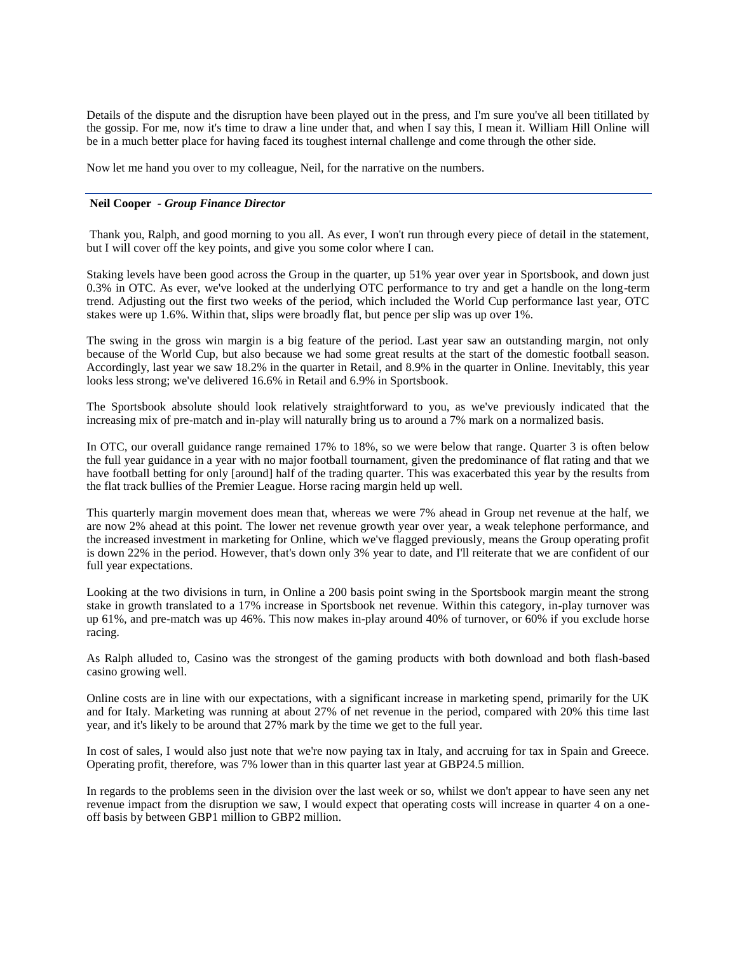Details of the dispute and the disruption have been played out in the press, and I'm sure you've all been titillated by the gossip. For me, now it's time to draw a line under that, and when I say this, I mean it. William Hill Online will be in a much better place for having faced its toughest internal challenge and come through the other side.

Now let me hand you over to my colleague, Neil, for the narrative on the numbers.

#### **Neil Cooper** *- Group Finance Director*

Thank you, Ralph, and good morning to you all. As ever, I won't run through every piece of detail in the statement, but I will cover off the key points, and give you some color where I can.

Staking levels have been good across the Group in the quarter, up 51% year over year in Sportsbook, and down just 0.3% in OTC. As ever, we've looked at the underlying OTC performance to try and get a handle on the long-term trend. Adjusting out the first two weeks of the period, which included the World Cup performance last year, OTC stakes were up 1.6%. Within that, slips were broadly flat, but pence per slip was up over 1%.

The swing in the gross win margin is a big feature of the period. Last year saw an outstanding margin, not only because of the World Cup, but also because we had some great results at the start of the domestic football season. Accordingly, last year we saw 18.2% in the quarter in Retail, and 8.9% in the quarter in Online. Inevitably, this year looks less strong; we've delivered 16.6% in Retail and 6.9% in Sportsbook.

The Sportsbook absolute should look relatively straightforward to you, as we've previously indicated that the increasing mix of pre-match and in-play will naturally bring us to around a 7% mark on a normalized basis.

In OTC, our overall guidance range remained 17% to 18%, so we were below that range. Quarter 3 is often below the full year guidance in a year with no major football tournament, given the predominance of flat rating and that we have football betting for only [around] half of the trading quarter. This was exacerbated this year by the results from the flat track bullies of the Premier League. Horse racing margin held up well.

This quarterly margin movement does mean that, whereas we were 7% ahead in Group net revenue at the half, we are now 2% ahead at this point. The lower net revenue growth year over year, a weak telephone performance, and the increased investment in marketing for Online, which we've flagged previously, means the Group operating profit is down 22% in the period. However, that's down only 3% year to date, and I'll reiterate that we are confident of our full year expectations.

Looking at the two divisions in turn, in Online a 200 basis point swing in the Sportsbook margin meant the strong stake in growth translated to a 17% increase in Sportsbook net revenue. Within this category, in-play turnover was up 61%, and pre-match was up 46%. This now makes in-play around 40% of turnover, or 60% if you exclude horse racing.

As Ralph alluded to, Casino was the strongest of the gaming products with both download and both flash-based casino growing well.

Online costs are in line with our expectations, with a significant increase in marketing spend, primarily for the UK and for Italy. Marketing was running at about 27% of net revenue in the period, compared with 20% this time last year, and it's likely to be around that 27% mark by the time we get to the full year.

In cost of sales, I would also just note that we're now paying tax in Italy, and accruing for tax in Spain and Greece. Operating profit, therefore, was 7% lower than in this quarter last year at GBP24.5 million.

In regards to the problems seen in the division over the last week or so, whilst we don't appear to have seen any net revenue impact from the disruption we saw, I would expect that operating costs will increase in quarter 4 on a oneoff basis by between GBP1 million to GBP2 million.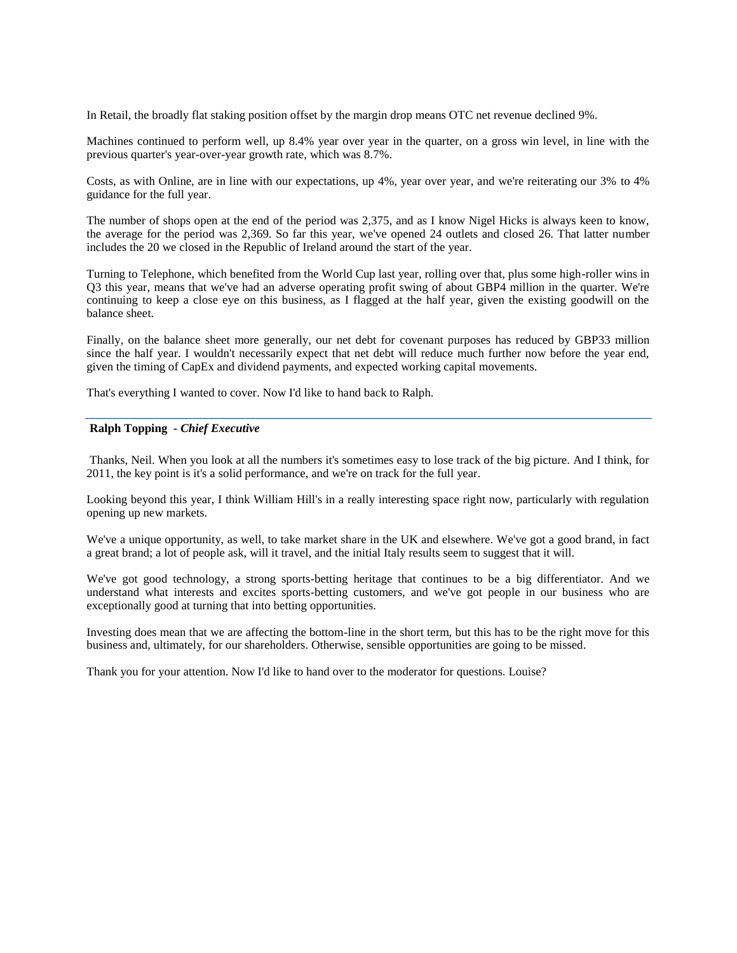In Retail, the broadly flat staking position offset by the margin drop means OTC net revenue declined 9%.

Machines continued to perform well, up 8.4% year over year in the quarter, on a gross win level, in line with the previous quarter's year-over-year growth rate, which was 8.7%.

Costs, as with Online, are in line with our expectations, up 4%, year over year, and we're reiterating our 3% to 4% guidance for the full year.

The number of shops open at the end of the period was 2,375, and as I know Nigel Hicks is always keen to know, the average for the period was 2,369. So far this year, we've opened 24 outlets and closed 26. That latter number includes the 20 we closed in the Republic of Ireland around the start of the year.

Turning to Telephone, which benefited from the World Cup last year, rolling over that, plus some high-roller wins in Q3 this year, means that we've had an adverse operating profit swing of about GBP4 million in the quarter. We're continuing to keep a close eye on this business, as I flagged at the half year, given the existing goodwill on the balance sheet.

Finally, on the balance sheet more generally, our net debt for covenant purposes has reduced by GBP33 million since the half year. I wouldn't necessarily expect that net debt will reduce much further now before the year end, given the timing of CapEx and dividend payments, and expected working capital movements.

That's everything I wanted to cover. Now I'd like to hand back to Ralph.

#### **Ralph Topping** *- Chief Executive*

Thanks, Neil. When you look at all the numbers it's sometimes easy to lose track of the big picture. And I think, for 2011, the key point is it's a solid performance, and we're on track for the full year.

Looking beyond this year, I think William Hill's in a really interesting space right now, particularly with regulation opening up new markets.

We've a unique opportunity, as well, to take market share in the UK and elsewhere. We've got a good brand, in fact a great brand; a lot of people ask, will it travel, and the initial Italy results seem to suggest that it will.

We've got good technology, a strong sports-betting heritage that continues to be a big differentiator. And we understand what interests and excites sports-betting customers, and we've got people in our business who are exceptionally good at turning that into betting opportunities.

Investing does mean that we are affecting the bottom-line in the short term, but this has to be the right move for this business and, ultimately, for our shareholders. Otherwise, sensible opportunities are going to be missed.

Thank you for your attention. Now I'd like to hand over to the moderator for questions. Louise?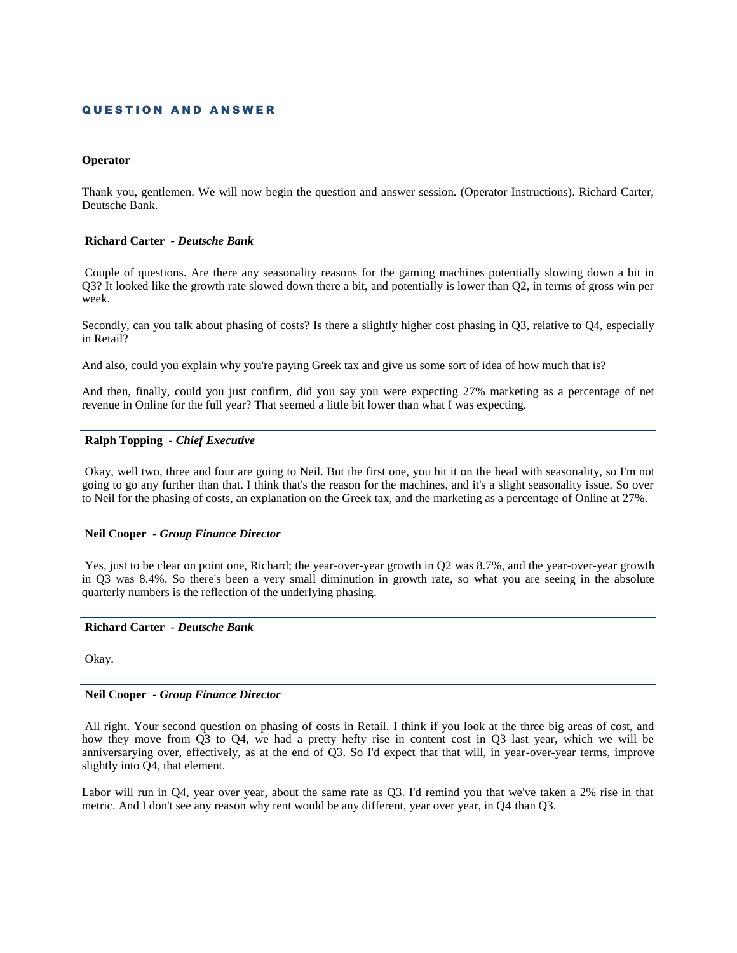### **QUESTION AND ANSWER**

#### **Operator**

Thank you, gentlemen. We will now begin the question and answer session. (Operator Instructions). Richard Carter, Deutsche Bank.

#### **Richard Carter** *- Deutsche Bank*

Couple of questions. Are there any seasonality reasons for the gaming machines potentially slowing down a bit in Q3? It looked like the growth rate slowed down there a bit, and potentially is lower than Q2, in terms of gross win per week.

Secondly, can you talk about phasing of costs? Is there a slightly higher cost phasing in Q3, relative to Q4, especially in Retail?

And also, could you explain why you're paying Greek tax and give us some sort of idea of how much that is?

And then, finally, could you just confirm, did you say you were expecting 27% marketing as a percentage of net revenue in Online for the full year? That seemed a little bit lower than what I was expecting.

### **Ralph Topping** *- Chief Executive*

Okay, well two, three and four are going to Neil. But the first one, you hit it on the head with seasonality, so I'm not going to go any further than that. I think that's the reason for the machines, and it's a slight seasonality issue. So over to Neil for the phasing of costs, an explanation on the Greek tax, and the marketing as a percentage of Online at 27%.

### **Neil Cooper** *- Group Finance Director*

Yes, just to be clear on point one, Richard; the year-over-year growth in Q2 was 8.7%, and the year-over-year growth in Q3 was 8.4%. So there's been a very small diminution in growth rate, so what you are seeing in the absolute quarterly numbers is the reflection of the underlying phasing.

### **Richard Carter** *- Deutsche Bank*

Okay.

### **Neil Cooper** *- Group Finance Director*

All right. Your second question on phasing of costs in Retail. I think if you look at the three big areas of cost, and how they move from Q3 to Q4, we had a pretty hefty rise in content cost in Q3 last year, which we will be anniversarying over, effectively, as at the end of Q3. So I'd expect that that will, in year-over-year terms, improve slightly into Q4, that element.

Labor will run in Q4, year over year, about the same rate as Q3. I'd remind you that we've taken a 2% rise in that metric. And I don't see any reason why rent would be any different, year over year, in Q4 than Q3.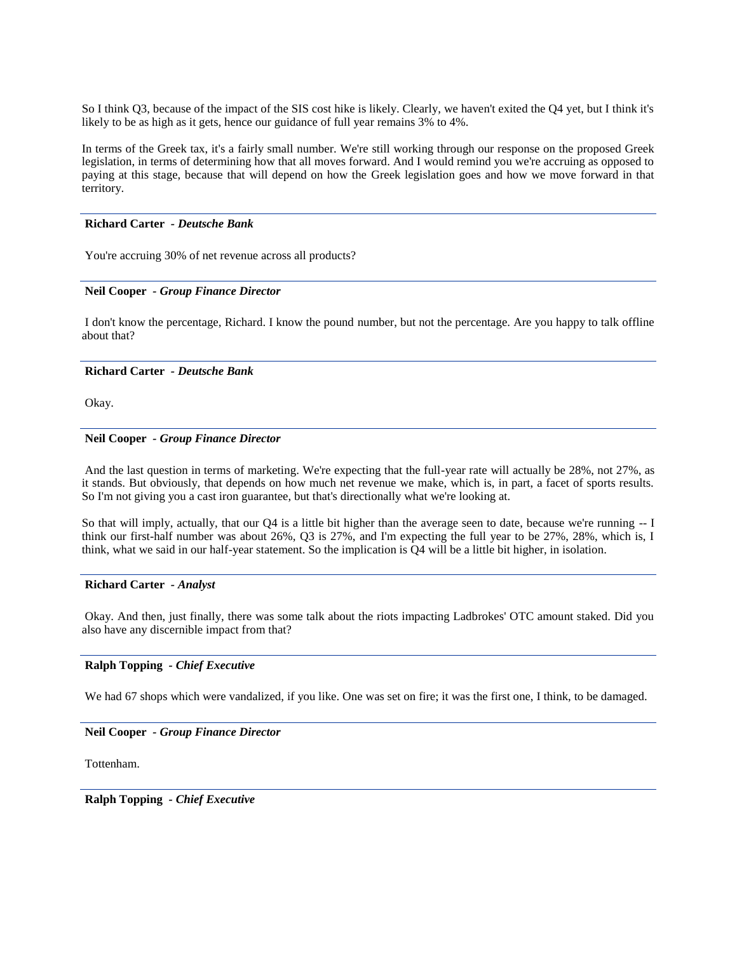So I think Q3, because of the impact of the SIS cost hike is likely. Clearly, we haven't exited the Q4 yet, but I think it's likely to be as high as it gets, hence our guidance of full year remains 3% to 4%.

In terms of the Greek tax, it's a fairly small number. We're still working through our response on the proposed Greek legislation, in terms of determining how that all moves forward. And I would remind you we're accruing as opposed to paying at this stage, because that will depend on how the Greek legislation goes and how we move forward in that territory.

#### **Richard Carter** *- Deutsche Bank*

You're accruing 30% of net revenue across all products?

### **Neil Cooper** *- Group Finance Director*

I don't know the percentage, Richard. I know the pound number, but not the percentage. Are you happy to talk offline about that?

### **Richard Carter** *- Deutsche Bank*

Okay.

### **Neil Cooper** *- Group Finance Director*

And the last question in terms of marketing. We're expecting that the full-year rate will actually be 28%, not 27%, as it stands. But obviously, that depends on how much net revenue we make, which is, in part, a facet of sports results. So I'm not giving you a cast iron guarantee, but that's directionally what we're looking at.

So that will imply, actually, that our Q4 is a little bit higher than the average seen to date, because we're running -- I think our first-half number was about 26%, Q3 is 27%, and I'm expecting the full year to be 27%, 28%, which is, I think, what we said in our half-year statement. So the implication is  $\overline{Q}4$  will be a little bit higher, in isolation.

#### **Richard Carter** *- Analyst*

Okay. And then, just finally, there was some talk about the riots impacting Ladbrokes' OTC amount staked. Did you also have any discernible impact from that?

### **Ralph Topping** *- Chief Executive*

We had 67 shops which were vandalized, if you like. One was set on fire; it was the first one, I think, to be damaged.

### **Neil Cooper** *- Group Finance Director*

Tottenham.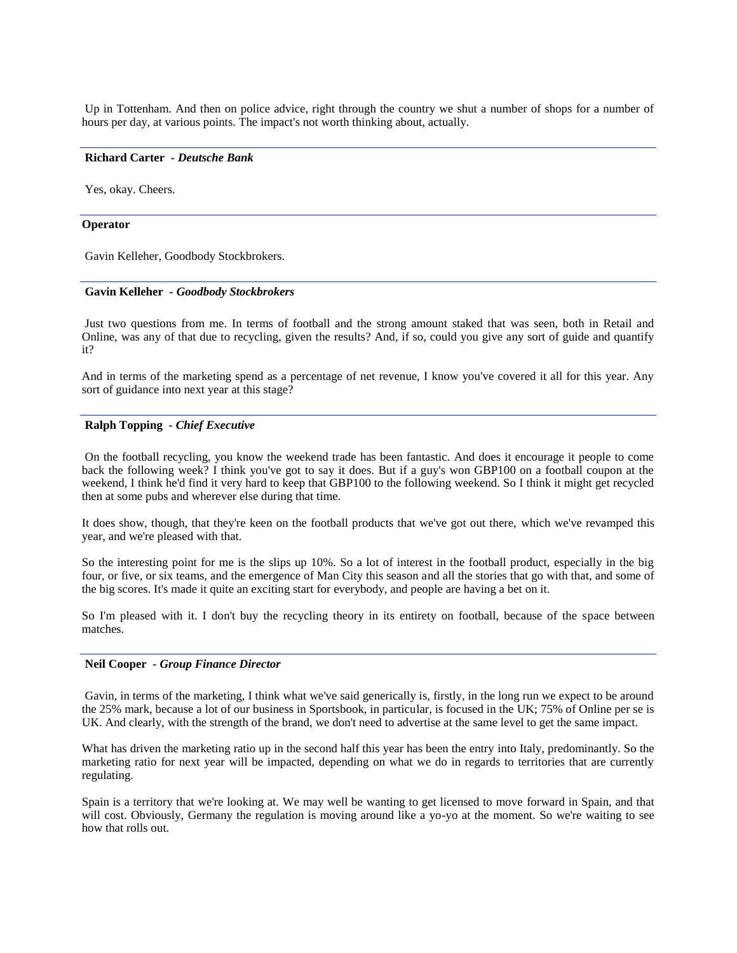Up in Tottenham. And then on police advice, right through the country we shut a number of shops for a number of hours per day, at various points. The impact's not worth thinking about, actually.

### **Richard Carter** *- Deutsche Bank*

Yes, okay. Cheers.

#### **Operator**

Gavin Kelleher, Goodbody Stockbrokers.

#### **Gavin Kelleher** *- Goodbody Stockbrokers*

Just two questions from me. In terms of football and the strong amount staked that was seen, both in Retail and Online, was any of that due to recycling, given the results? And, if so, could you give any sort of guide and quantify it?

And in terms of the marketing spend as a percentage of net revenue, I know you've covered it all for this year. Any sort of guidance into next year at this stage?

#### **Ralph Topping** *- Chief Executive*

On the football recycling, you know the weekend trade has been fantastic. And does it encourage it people to come back the following week? I think you've got to say it does. But if a guy's won GBP100 on a football coupon at the weekend, I think he'd find it very hard to keep that GBP100 to the following weekend. So I think it might get recycled then at some pubs and wherever else during that time.

It does show, though, that they're keen on the football products that we've got out there, which we've revamped this year, and we're pleased with that.

So the interesting point for me is the slips up 10%. So a lot of interest in the football product, especially in the big four, or five, or six teams, and the emergence of Man City this season and all the stories that go with that, and some of the big scores. It's made it quite an exciting start for everybody, and people are having a bet on it.

So I'm pleased with it. I don't buy the recycling theory in its entirety on football, because of the space between matches.

### **Neil Cooper** *- Group Finance Director*

Gavin, in terms of the marketing, I think what we've said generically is, firstly, in the long run we expect to be around the 25% mark, because a lot of our business in Sportsbook, in particular, is focused in the UK; 75% of Online per se is UK. And clearly, with the strength of the brand, we don't need to advertise at the same level to get the same impact.

What has driven the marketing ratio up in the second half this year has been the entry into Italy, predominantly. So the marketing ratio for next year will be impacted, depending on what we do in regards to territories that are currently regulating.

Spain is a territory that we're looking at. We may well be wanting to get licensed to move forward in Spain, and that will cost. Obviously, Germany the regulation is moving around like a yo-yo at the moment. So we're waiting to see how that rolls out.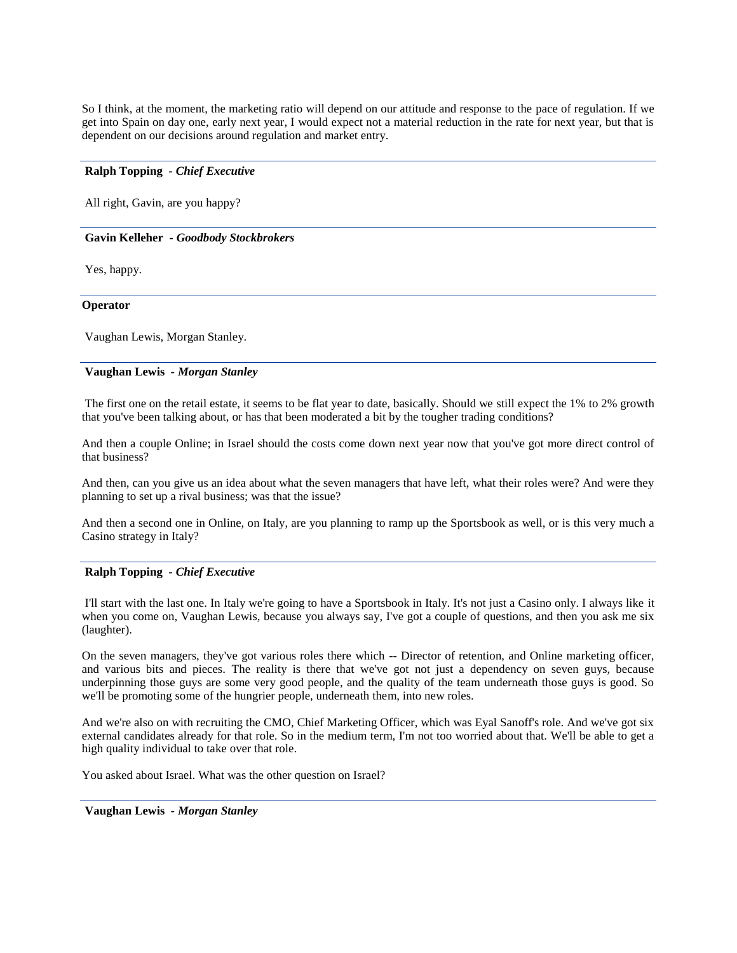So I think, at the moment, the marketing ratio will depend on our attitude and response to the pace of regulation. If we get into Spain on day one, early next year, I would expect not a material reduction in the rate for next year, but that is dependent on our decisions around regulation and market entry.

### **Ralph Topping** *- Chief Executive*

All right, Gavin, are you happy?

#### **Gavin Kelleher** *- Goodbody Stockbrokers*

Yes, happy.

#### **Operator**

Vaughan Lewis, Morgan Stanley.

### **Vaughan Lewis** *- Morgan Stanley*

The first one on the retail estate, it seems to be flat year to date, basically. Should we still expect the 1% to 2% growth that you've been talking about, or has that been moderated a bit by the tougher trading conditions?

And then a couple Online; in Israel should the costs come down next year now that you've got more direct control of that business?

And then, can you give us an idea about what the seven managers that have left, what their roles were? And were they planning to set up a rival business; was that the issue?

And then a second one in Online, on Italy, are you planning to ramp up the Sportsbook as well, or is this very much a Casino strategy in Italy?

### **Ralph Topping** *- Chief Executive*

I'll start with the last one. In Italy we're going to have a Sportsbook in Italy. It's not just a Casino only. I always like it when you come on, Vaughan Lewis, because you always say, I've got a couple of questions, and then you ask me six (laughter).

On the seven managers, they've got various roles there which -- Director of retention, and Online marketing officer, and various bits and pieces. The reality is there that we've got not just a dependency on seven guys, because underpinning those guys are some very good people, and the quality of the team underneath those guys is good. So we'll be promoting some of the hungrier people, underneath them, into new roles.

And we're also on with recruiting the CMO, Chief Marketing Officer, which was Eyal Sanoff's role. And we've got six external candidates already for that role. So in the medium term, I'm not too worried about that. We'll be able to get a high quality individual to take over that role.

You asked about Israel. What was the other question on Israel?

**Vaughan Lewis** *- Morgan Stanley*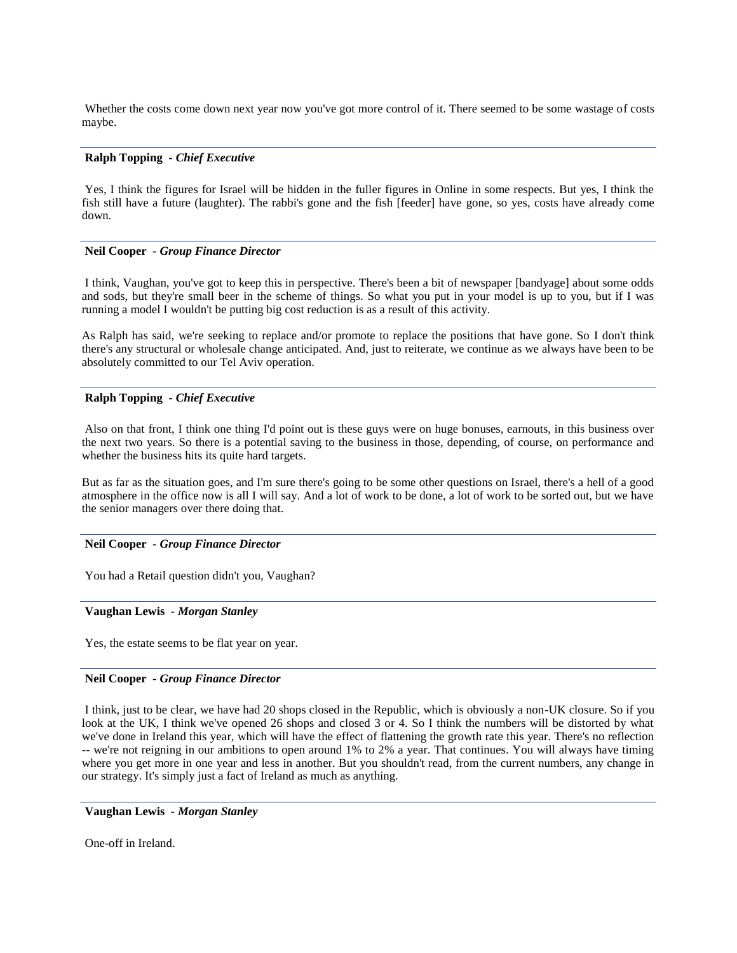Whether the costs come down next year now you've got more control of it. There seemed to be some wastage of costs maybe.

### **Ralph Topping** *- Chief Executive*

Yes, I think the figures for Israel will be hidden in the fuller figures in Online in some respects. But yes, I think the fish still have a future (laughter). The rabbi's gone and the fish [feeder] have gone, so yes, costs have already come down.

### **Neil Cooper** *- Group Finance Director*

I think, Vaughan, you've got to keep this in perspective. There's been a bit of newspaper [bandyage] about some odds and sods, but they're small beer in the scheme of things. So what you put in your model is up to you, but if I was running a model I wouldn't be putting big cost reduction is as a result of this activity.

As Ralph has said, we're seeking to replace and/or promote to replace the positions that have gone. So I don't think there's any structural or wholesale change anticipated. And, just to reiterate, we continue as we always have been to be absolutely committed to our Tel Aviv operation.

### **Ralph Topping** *- Chief Executive*

Also on that front, I think one thing I'd point out is these guys were on huge bonuses, earnouts, in this business over the next two years. So there is a potential saving to the business in those, depending, of course, on performance and whether the business hits its quite hard targets.

But as far as the situation goes, and I'm sure there's going to be some other questions on Israel, there's a hell of a good atmosphere in the office now is all I will say. And a lot of work to be done, a lot of work to be sorted out, but we have the senior managers over there doing that.

#### **Neil Cooper** *- Group Finance Director*

You had a Retail question didn't you, Vaughan?

#### **Vaughan Lewis** *- Morgan Stanley*

Yes, the estate seems to be flat year on year.

### **Neil Cooper** *- Group Finance Director*

I think, just to be clear, we have had 20 shops closed in the Republic, which is obviously a non-UK closure. So if you look at the UK, I think we've opened 26 shops and closed 3 or 4. So I think the numbers will be distorted by what we've done in Ireland this year, which will have the effect of flattening the growth rate this year. There's no reflection -- we're not reigning in our ambitions to open around 1% to 2% a year. That continues. You will always have timing where you get more in one year and less in another. But you shouldn't read, from the current numbers, any change in our strategy. It's simply just a fact of Ireland as much as anything.

**Vaughan Lewis** *- Morgan Stanley* 

One-off in Ireland.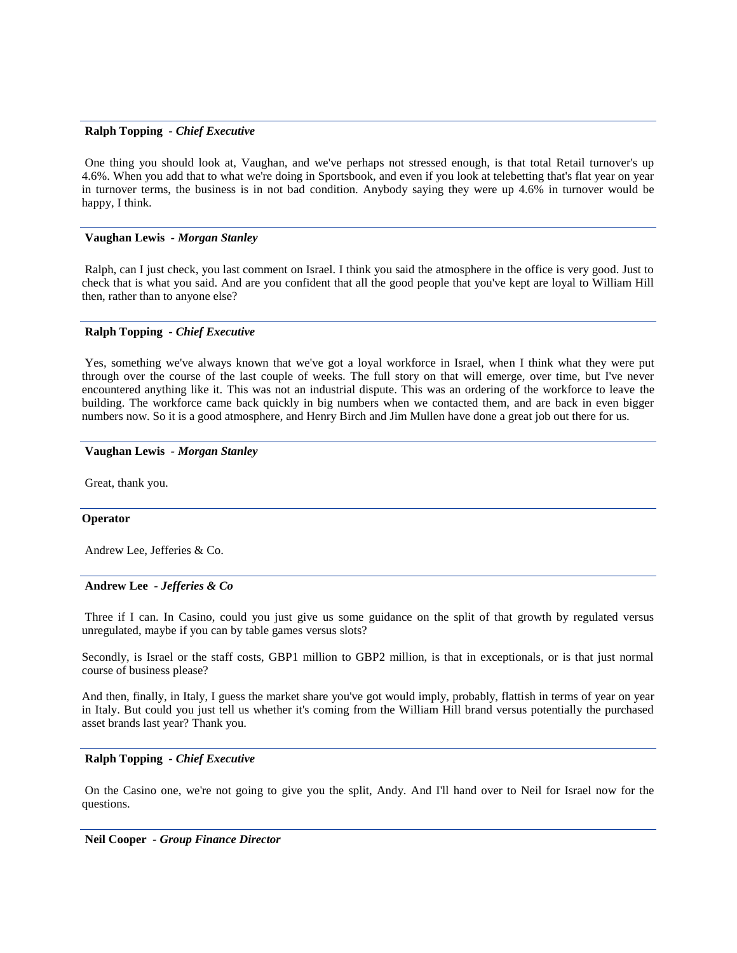### **Ralph Topping** *- Chief Executive*

One thing you should look at, Vaughan, and we've perhaps not stressed enough, is that total Retail turnover's up 4.6%. When you add that to what we're doing in Sportsbook, and even if you look at telebetting that's flat year on year in turnover terms, the business is in not bad condition. Anybody saying they were up 4.6% in turnover would be happy, I think.

### **Vaughan Lewis** *- Morgan Stanley*

Ralph, can I just check, you last comment on Israel. I think you said the atmosphere in the office is very good. Just to check that is what you said. And are you confident that all the good people that you've kept are loyal to William Hill then, rather than to anyone else?

### **Ralph Topping** *- Chief Executive*

Yes, something we've always known that we've got a loyal workforce in Israel, when I think what they were put through over the course of the last couple of weeks. The full story on that will emerge, over time, but I've never encountered anything like it. This was not an industrial dispute. This was an ordering of the workforce to leave the building. The workforce came back quickly in big numbers when we contacted them, and are back in even bigger numbers now. So it is a good atmosphere, and Henry Birch and Jim Mullen have done a great job out there for us.

### **Vaughan Lewis** *- Morgan Stanley*

Great, thank you.

### **Operator**

Andrew Lee, Jefferies & Co.

### **Andrew Lee** *- Jefferies & Co*

Three if I can. In Casino, could you just give us some guidance on the split of that growth by regulated versus unregulated, maybe if you can by table games versus slots?

Secondly, is Israel or the staff costs, GBP1 million to GBP2 million, is that in exceptionals, or is that just normal course of business please?

And then, finally, in Italy, I guess the market share you've got would imply, probably, flattish in terms of year on year in Italy. But could you just tell us whether it's coming from the William Hill brand versus potentially the purchased asset brands last year? Thank you.

#### **Ralph Topping** *- Chief Executive*

On the Casino one, we're not going to give you the split, Andy. And I'll hand over to Neil for Israel now for the questions.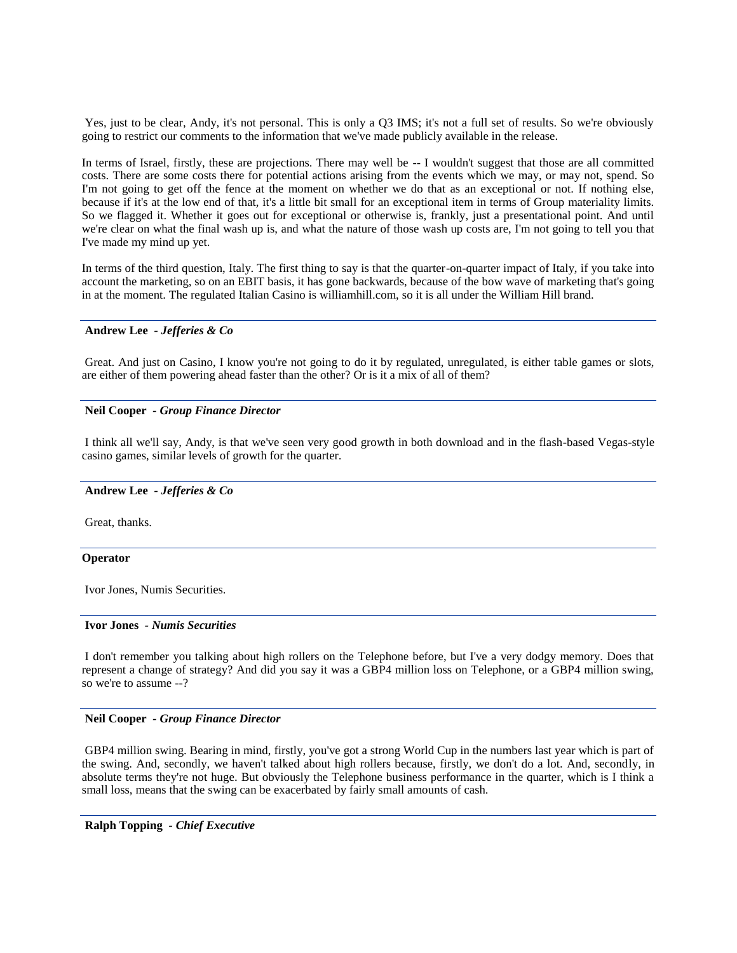Yes, just to be clear, Andy, it's not personal. This is only a Q3 IMS; it's not a full set of results. So we're obviously going to restrict our comments to the information that we've made publicly available in the release.

In terms of Israel, firstly, these are projections. There may well be -- I wouldn't suggest that those are all committed costs. There are some costs there for potential actions arising from the events which we may, or may not, spend. So I'm not going to get off the fence at the moment on whether we do that as an exceptional or not. If nothing else, because if it's at the low end of that, it's a little bit small for an exceptional item in terms of Group materiality limits. So we flagged it. Whether it goes out for exceptional or otherwise is, frankly, just a presentational point. And until we're clear on what the final wash up is, and what the nature of those wash up costs are, I'm not going to tell you that I've made my mind up yet.

In terms of the third question, Italy. The first thing to say is that the quarter-on-quarter impact of Italy, if you take into account the marketing, so on an EBIT basis, it has gone backwards, because of the bow wave of marketing that's going in at the moment. The regulated Italian Casino is williamhill.com, so it is all under the William Hill brand.

### **Andrew Lee** *- Jefferies & Co*

Great. And just on Casino, I know you're not going to do it by regulated, unregulated, is either table games or slots, are either of them powering ahead faster than the other? Or is it a mix of all of them?

### **Neil Cooper** *- Group Finance Director*

I think all we'll say, Andy, is that we've seen very good growth in both download and in the flash-based Vegas-style casino games, similar levels of growth for the quarter.

#### **Andrew Lee** *- Jefferies & Co*

Great, thanks.

#### **Operator**

Ivor Jones, Numis Securities.

#### **Ivor Jones** *- Numis Securities*

I don't remember you talking about high rollers on the Telephone before, but I've a very dodgy memory. Does that represent a change of strategy? And did you say it was a GBP4 million loss on Telephone, or a GBP4 million swing, so we're to assume --?

#### **Neil Cooper** *- Group Finance Director*

GBP4 million swing. Bearing in mind, firstly, you've got a strong World Cup in the numbers last year which is part of the swing. And, secondly, we haven't talked about high rollers because, firstly, we don't do a lot. And, secondly, in absolute terms they're not huge. But obviously the Telephone business performance in the quarter, which is I think a small loss, means that the swing can be exacerbated by fairly small amounts of cash.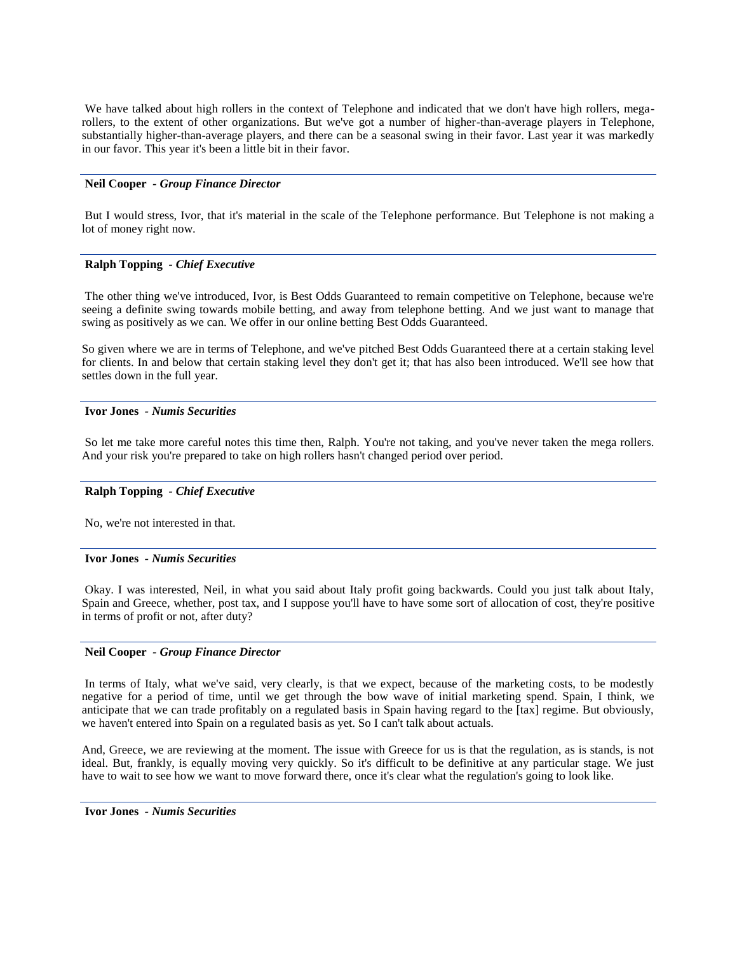We have talked about high rollers in the context of Telephone and indicated that we don't have high rollers, megarollers, to the extent of other organizations. But we've got a number of higher-than-average players in Telephone, substantially higher-than-average players, and there can be a seasonal swing in their favor. Last year it was markedly in our favor. This year it's been a little bit in their favor.

### **Neil Cooper** *- Group Finance Director*

But I would stress, Ivor, that it's material in the scale of the Telephone performance. But Telephone is not making a lot of money right now.

### **Ralph Topping** *- Chief Executive*

The other thing we've introduced, Ivor, is Best Odds Guaranteed to remain competitive on Telephone, because we're seeing a definite swing towards mobile betting, and away from telephone betting. And we just want to manage that swing as positively as we can. We offer in our online betting Best Odds Guaranteed.

So given where we are in terms of Telephone, and we've pitched Best Odds Guaranteed there at a certain staking level for clients. In and below that certain staking level they don't get it; that has also been introduced. We'll see how that settles down in the full year.

# **Ivor Jones** *- Numis Securities*

So let me take more careful notes this time then, Ralph. You're not taking, and you've never taken the mega rollers. And your risk you're prepared to take on high rollers hasn't changed period over period.

### **Ralph Topping** *- Chief Executive*

No, we're not interested in that.

### **Ivor Jones** *- Numis Securities*

Okay. I was interested, Neil, in what you said about Italy profit going backwards. Could you just talk about Italy, Spain and Greece, whether, post tax, and I suppose you'll have to have some sort of allocation of cost, they're positive in terms of profit or not, after duty?

### **Neil Cooper** *- Group Finance Director*

In terms of Italy, what we've said, very clearly, is that we expect, because of the marketing costs, to be modestly negative for a period of time, until we get through the bow wave of initial marketing spend. Spain, I think, we anticipate that we can trade profitably on a regulated basis in Spain having regard to the [tax] regime. But obviously, we haven't entered into Spain on a regulated basis as yet. So I can't talk about actuals.

And, Greece, we are reviewing at the moment. The issue with Greece for us is that the regulation, as is stands, is not ideal. But, frankly, is equally moving very quickly. So it's difficult to be definitive at any particular stage. We just have to wait to see how we want to move forward there, once it's clear what the regulation's going to look like.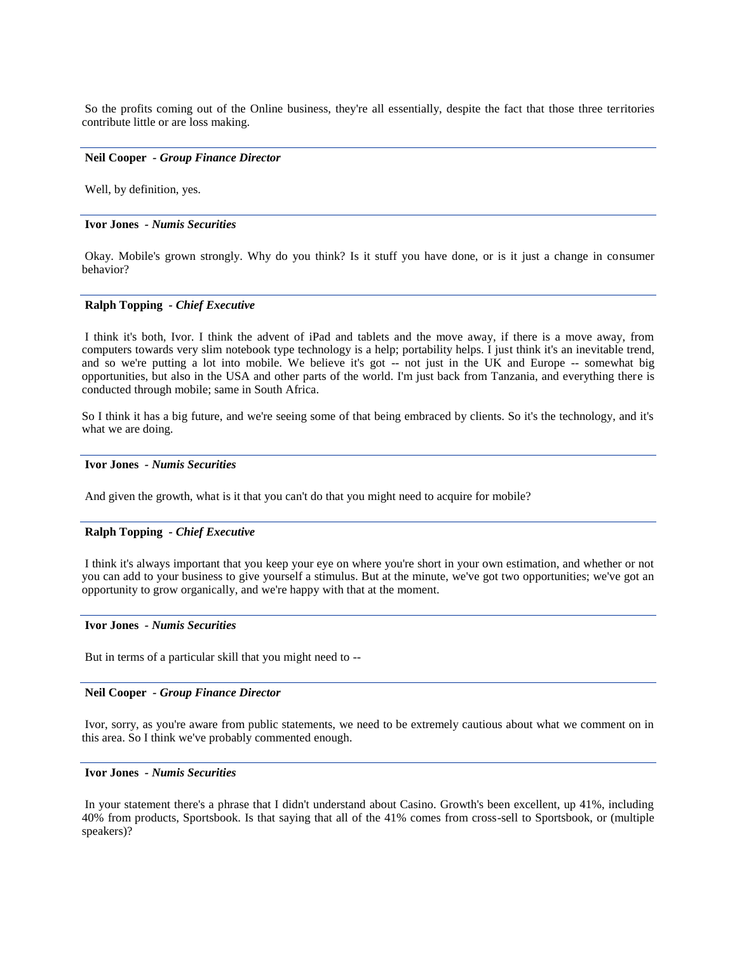So the profits coming out of the Online business, they're all essentially, despite the fact that those three territories contribute little or are loss making.

#### **Neil Cooper** *- Group Finance Director*

Well, by definition, yes.

#### **Ivor Jones** *- Numis Securities*

Okay. Mobile's grown strongly. Why do you think? Is it stuff you have done, or is it just a change in consumer behavior?

### **Ralph Topping** *- Chief Executive*

I think it's both, Ivor. I think the advent of iPad and tablets and the move away, if there is a move away, from computers towards very slim notebook type technology is a help; portability helps. I just think it's an inevitable trend, and so we're putting a lot into mobile. We believe it's got -- not just in the UK and Europe -- somewhat big opportunities, but also in the USA and other parts of the world. I'm just back from Tanzania, and everything there is conducted through mobile; same in South Africa.

So I think it has a big future, and we're seeing some of that being embraced by clients. So it's the technology, and it's what we are doing.

### **Ivor Jones** *- Numis Securities*

And given the growth, what is it that you can't do that you might need to acquire for mobile?

# **Ralph Topping** *- Chief Executive*

I think it's always important that you keep your eye on where you're short in your own estimation, and whether or not you can add to your business to give yourself a stimulus. But at the minute, we've got two opportunities; we've got an opportunity to grow organically, and we're happy with that at the moment.

#### **Ivor Jones** *- Numis Securities*

But in terms of a particular skill that you might need to --

#### **Neil Cooper** *- Group Finance Director*

Ivor, sorry, as you're aware from public statements, we need to be extremely cautious about what we comment on in this area. So I think we've probably commented enough.

### **Ivor Jones** *- Numis Securities*

In your statement there's a phrase that I didn't understand about Casino. Growth's been excellent, up 41%, including 40% from products, Sportsbook. Is that saying that all of the 41% comes from cross-sell to Sportsbook, or (multiple speakers)?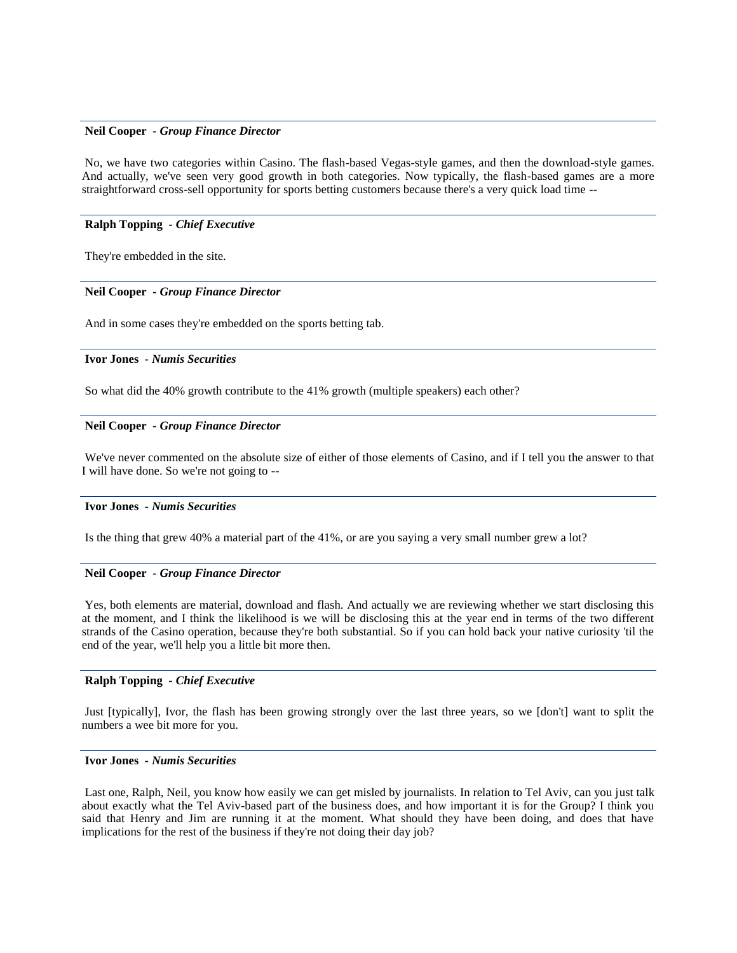### **Neil Cooper** *- Group Finance Director*

No, we have two categories within Casino. The flash-based Vegas-style games, and then the download-style games. And actually, we've seen very good growth in both categories. Now typically, the flash-based games are a more straightforward cross-sell opportunity for sports betting customers because there's a very quick load time --

### **Ralph Topping** *- Chief Executive*

They're embedded in the site.

#### **Neil Cooper** *- Group Finance Director*

And in some cases they're embedded on the sports betting tab.

#### **Ivor Jones** *- Numis Securities*

So what did the 40% growth contribute to the 41% growth (multiple speakers) each other?

#### **Neil Cooper** *- Group Finance Director*

We've never commented on the absolute size of either of those elements of Casino, and if I tell you the answer to that I will have done. So we're not going to --

#### **Ivor Jones** *- Numis Securities*

Is the thing that grew 40% a material part of the 41%, or are you saying a very small number grew a lot?

### **Neil Cooper** *- Group Finance Director*

Yes, both elements are material, download and flash. And actually we are reviewing whether we start disclosing this at the moment, and I think the likelihood is we will be disclosing this at the year end in terms of the two different strands of the Casino operation, because they're both substantial. So if you can hold back your native curiosity 'til the end of the year, we'll help you a little bit more then.

### **Ralph Topping** *- Chief Executive*

Just [typically], Ivor, the flash has been growing strongly over the last three years, so we [don't] want to split the numbers a wee bit more for you.

### **Ivor Jones** *- Numis Securities*

Last one, Ralph, Neil, you know how easily we can get misled by journalists. In relation to Tel Aviv, can you just talk about exactly what the Tel Aviv-based part of the business does, and how important it is for the Group? I think you said that Henry and Jim are running it at the moment. What should they have been doing, and does that have implications for the rest of the business if they're not doing their day job?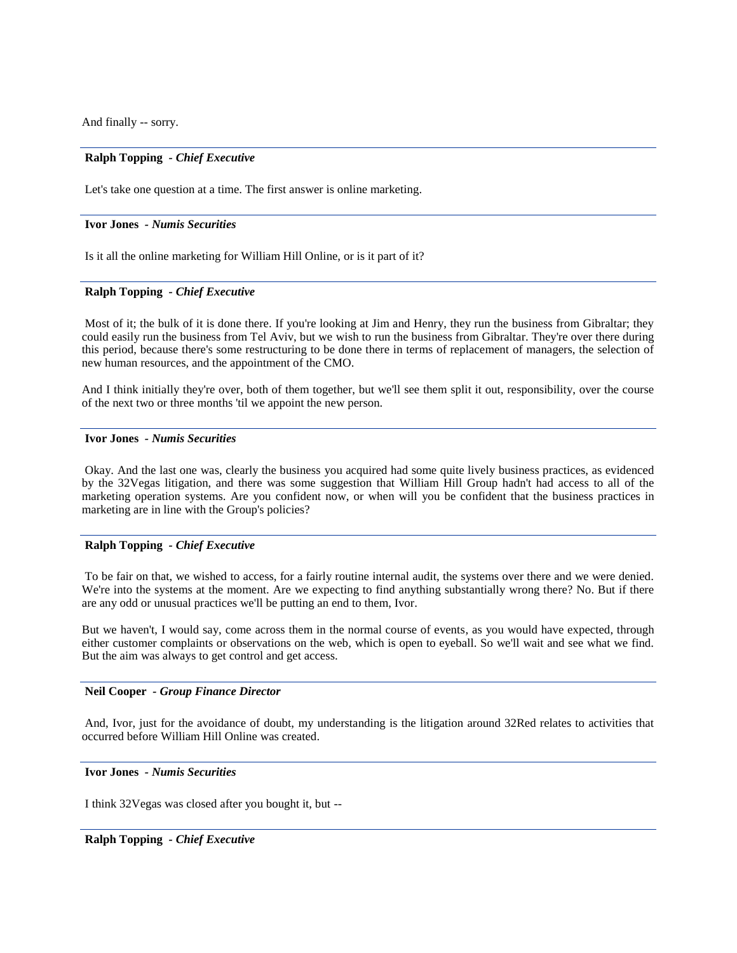And finally -- sorry.

### **Ralph Topping** *- Chief Executive*

Let's take one question at a time. The first answer is online marketing.

#### **Ivor Jones** *- Numis Securities*

Is it all the online marketing for William Hill Online, or is it part of it?

#### **Ralph Topping** *- Chief Executive*

Most of it; the bulk of it is done there. If you're looking at Jim and Henry, they run the business from Gibraltar; they could easily run the business from Tel Aviv, but we wish to run the business from Gibraltar. They're over there during this period, because there's some restructuring to be done there in terms of replacement of managers, the selection of new human resources, and the appointment of the CMO.

And I think initially they're over, both of them together, but we'll see them split it out, responsibility, over the course of the next two or three months 'til we appoint the new person.

### **Ivor Jones** *- Numis Securities*

Okay. And the last one was, clearly the business you acquired had some quite lively business practices, as evidenced by the 32Vegas litigation, and there was some suggestion that William Hill Group hadn't had access to all of the marketing operation systems. Are you confident now, or when will you be confident that the business practices in marketing are in line with the Group's policies?

### **Ralph Topping** *- Chief Executive*

To be fair on that, we wished to access, for a fairly routine internal audit, the systems over there and we were denied. We're into the systems at the moment. Are we expecting to find anything substantially wrong there? No. But if there are any odd or unusual practices we'll be putting an end to them, Ivor.

But we haven't, I would say, come across them in the normal course of events, as you would have expected, through either customer complaints or observations on the web, which is open to eyeball. So we'll wait and see what we find. But the aim was always to get control and get access.

#### **Neil Cooper** *- Group Finance Director*

And, Ivor, just for the avoidance of doubt, my understanding is the litigation around 32Red relates to activities that occurred before William Hill Online was created.

#### **Ivor Jones** *- Numis Securities*

I think 32Vegas was closed after you bought it, but --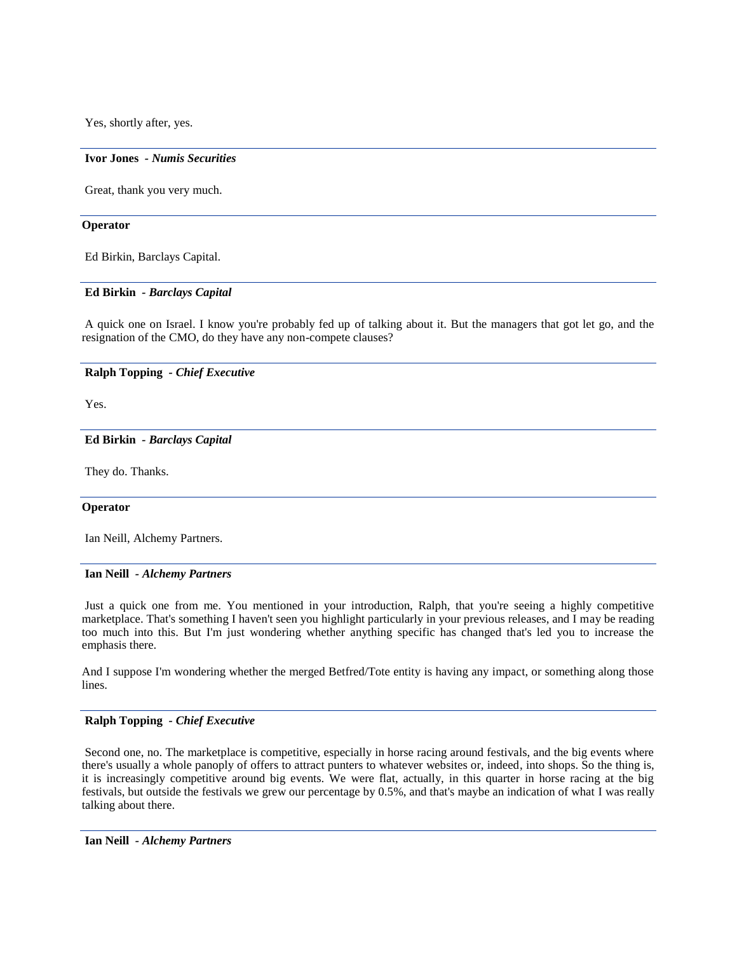Yes, shortly after, yes.

#### **Ivor Jones** *- Numis Securities*

Great, thank you very much.

#### **Operator**

Ed Birkin, Barclays Capital.

### **Ed Birkin** *- Barclays Capital*

A quick one on Israel. I know you're probably fed up of talking about it. But the managers that got let go, and the resignation of the CMO, do they have any non-compete clauses?

### **Ralph Topping** *- Chief Executive*

Yes.

#### **Ed Birkin** *- Barclays Capital*

They do. Thanks.

#### **Operator**

Ian Neill, Alchemy Partners.

#### **Ian Neill** *- Alchemy Partners*

Just a quick one from me. You mentioned in your introduction, Ralph, that you're seeing a highly competitive marketplace. That's something I haven't seen you highlight particularly in your previous releases, and I may be reading too much into this. But I'm just wondering whether anything specific has changed that's led you to increase the emphasis there.

And I suppose I'm wondering whether the merged Betfred/Tote entity is having any impact, or something along those lines.

#### **Ralph Topping** *- Chief Executive*

Second one, no. The marketplace is competitive, especially in horse racing around festivals, and the big events where there's usually a whole panoply of offers to attract punters to whatever websites or, indeed, into shops. So the thing is, it is increasingly competitive around big events. We were flat, actually, in this quarter in horse racing at the big festivals, but outside the festivals we grew our percentage by 0.5%, and that's maybe an indication of what I was really talking about there.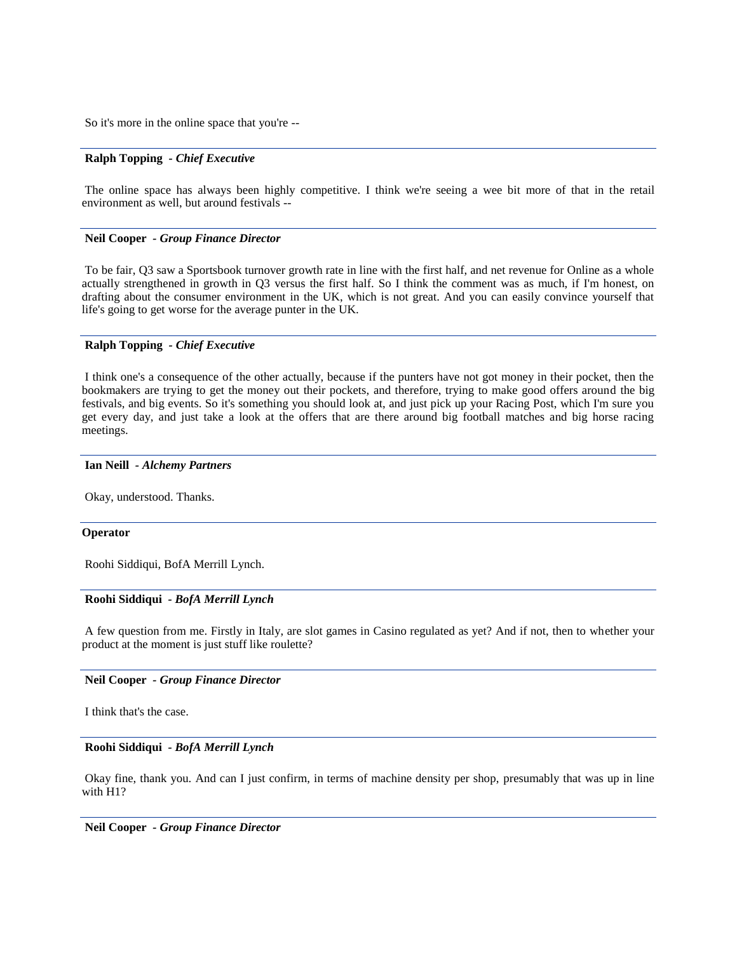So it's more in the online space that you're --

### **Ralph Topping** *- Chief Executive*

The online space has always been highly competitive. I think we're seeing a wee bit more of that in the retail environment as well, but around festivals --

### **Neil Cooper** *- Group Finance Director*

To be fair, Q3 saw a Sportsbook turnover growth rate in line with the first half, and net revenue for Online as a whole actually strengthened in growth in Q3 versus the first half. So I think the comment was as much, if I'm honest, on drafting about the consumer environment in the UK, which is not great. And you can easily convince yourself that life's going to get worse for the average punter in the UK.

### **Ralph Topping** *- Chief Executive*

I think one's a consequence of the other actually, because if the punters have not got money in their pocket, then the bookmakers are trying to get the money out their pockets, and therefore, trying to make good offers around the big festivals, and big events. So it's something you should look at, and just pick up your Racing Post, which I'm sure you get every day, and just take a look at the offers that are there around big football matches and big horse racing meetings.

### **Ian Neill** *- Alchemy Partners*

Okay, understood. Thanks.

### **Operator**

Roohi Siddiqui, BofA Merrill Lynch.

### **Roohi Siddiqui** *- BofA Merrill Lynch*

A few question from me. Firstly in Italy, are slot games in Casino regulated as yet? And if not, then to whether your product at the moment is just stuff like roulette?

#### **Neil Cooper** *- Group Finance Director*

I think that's the case.

#### **Roohi Siddiqui** *- BofA Merrill Lynch*

Okay fine, thank you. And can I just confirm, in terms of machine density per shop, presumably that was up in line with H1?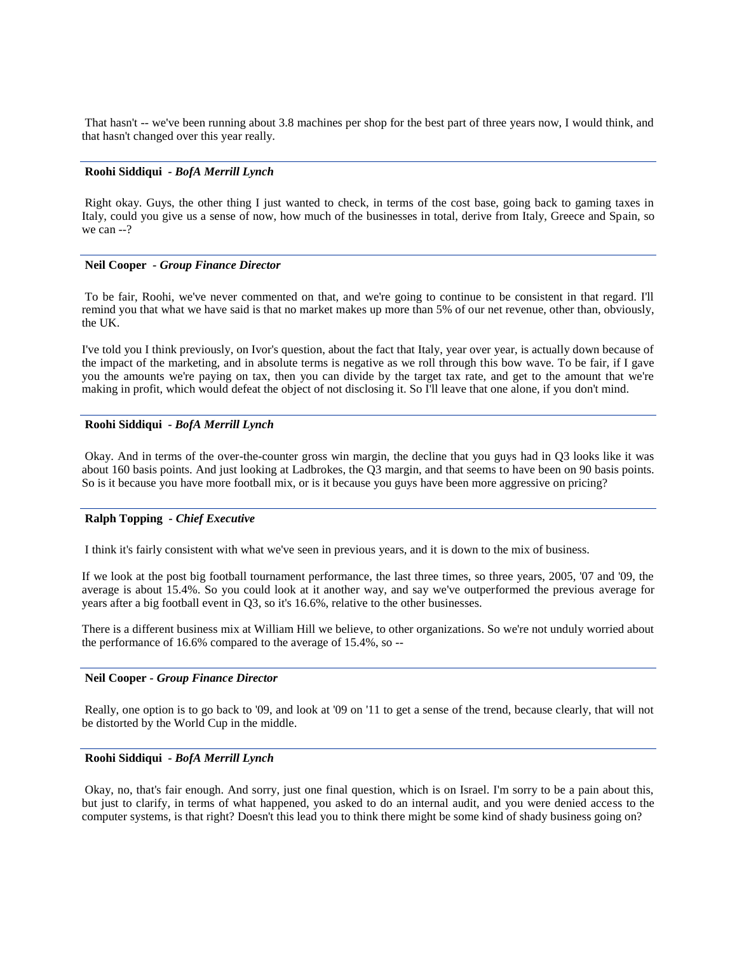That hasn't -- we've been running about 3.8 machines per shop for the best part of three years now, I would think, and that hasn't changed over this year really.

### **Roohi Siddiqui** *- BofA Merrill Lynch*

Right okay. Guys, the other thing I just wanted to check, in terms of the cost base, going back to gaming taxes in Italy, could you give us a sense of now, how much of the businesses in total, derive from Italy, Greece and Spain, so we can --?

#### **Neil Cooper** *- Group Finance Director*

To be fair, Roohi, we've never commented on that, and we're going to continue to be consistent in that regard. I'll remind you that what we have said is that no market makes up more than 5% of our net revenue, other than, obviously, the UK.

I've told you I think previously, on Ivor's question, about the fact that Italy, year over year, is actually down because of the impact of the marketing, and in absolute terms is negative as we roll through this bow wave. To be fair, if I gave you the amounts we're paying on tax, then you can divide by the target tax rate, and get to the amount that we're making in profit, which would defeat the object of not disclosing it. So I'll leave that one alone, if you don't mind.

### **Roohi Siddiqui** *- BofA Merrill Lynch*

Okay. And in terms of the over-the-counter gross win margin, the decline that you guys had in Q3 looks like it was about 160 basis points. And just looking at Ladbrokes, the Q3 margin, and that seems to have been on 90 basis points. So is it because you have more football mix, or is it because you guys have been more aggressive on pricing?

#### **Ralph Topping** *- Chief Executive*

I think it's fairly consistent with what we've seen in previous years, and it is down to the mix of business.

If we look at the post big football tournament performance, the last three times, so three years, 2005, '07 and '09, the average is about 15.4%. So you could look at it another way, and say we've outperformed the previous average for years after a big football event in Q3, so it's 16.6%, relative to the other businesses.

There is a different business mix at William Hill we believe, to other organizations. So we're not unduly worried about the performance of 16.6% compared to the average of 15.4%, so --

#### **Neil Cooper** *- Group Finance Director*

Really, one option is to go back to '09, and look at '09 on '11 to get a sense of the trend, because clearly, that will not be distorted by the World Cup in the middle.

#### **Roohi Siddiqui** *- BofA Merrill Lynch*

Okay, no, that's fair enough. And sorry, just one final question, which is on Israel. I'm sorry to be a pain about this, but just to clarify, in terms of what happened, you asked to do an internal audit, and you were denied access to the computer systems, is that right? Doesn't this lead you to think there might be some kind of shady business going on?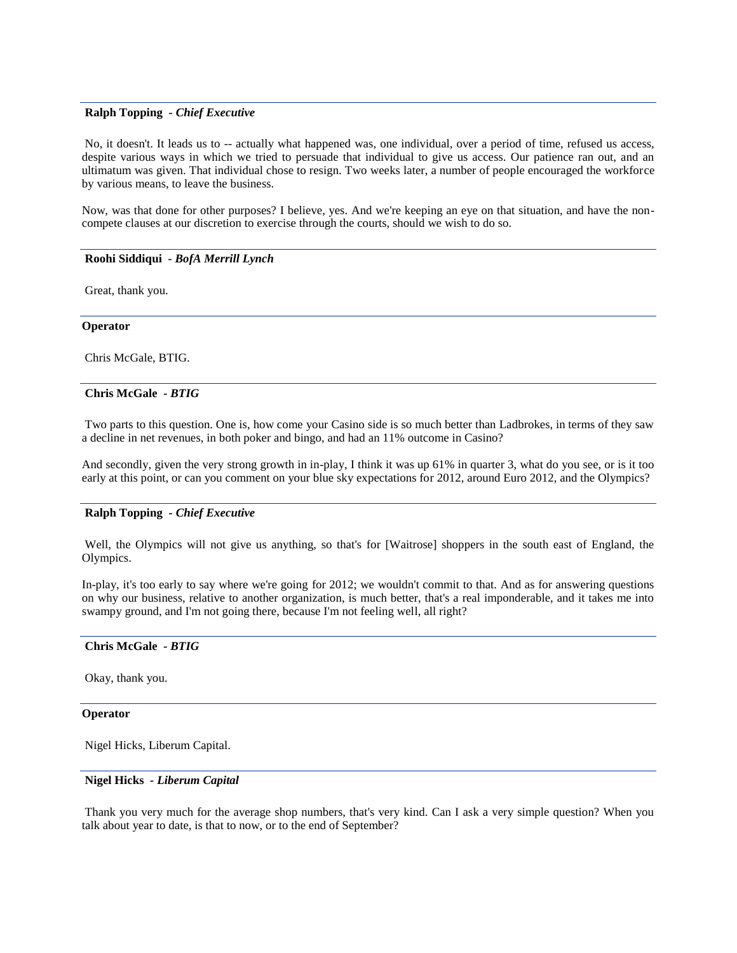### **Ralph Topping** *- Chief Executive*

No, it doesn't. It leads us to -- actually what happened was, one individual, over a period of time, refused us access, despite various ways in which we tried to persuade that individual to give us access. Our patience ran out, and an ultimatum was given. That individual chose to resign. Two weeks later, a number of people encouraged the workforce by various means, to leave the business.

Now, was that done for other purposes? I believe, yes. And we're keeping an eye on that situation, and have the noncompete clauses at our discretion to exercise through the courts, should we wish to do so.

### **Roohi Siddiqui** *- BofA Merrill Lynch*

Great, thank you.

#### **Operator**

Chris McGale, BTIG.

#### **Chris McGale** *- BTIG*

Two parts to this question. One is, how come your Casino side is so much better than Ladbrokes, in terms of they saw a decline in net revenues, in both poker and bingo, and had an 11% outcome in Casino?

And secondly, given the very strong growth in in-play, I think it was up 61% in quarter 3, what do you see, or is it too early at this point, or can you comment on your blue sky expectations for 2012, around Euro 2012, and the Olympics?

### **Ralph Topping** *- Chief Executive*

Well, the Olympics will not give us anything, so that's for [Waitrose] shoppers in the south east of England, the Olympics.

In-play, it's too early to say where we're going for 2012; we wouldn't commit to that. And as for answering questions on why our business, relative to another organization, is much better, that's a real imponderable, and it takes me into swampy ground, and I'm not going there, because I'm not feeling well, all right?

#### **Chris McGale** *- BTIG*

Okay, thank you.

### **Operator**

Nigel Hicks, Liberum Capital.

### **Nigel Hicks** *- Liberum Capital*

Thank you very much for the average shop numbers, that's very kind. Can I ask a very simple question? When you talk about year to date, is that to now, or to the end of September?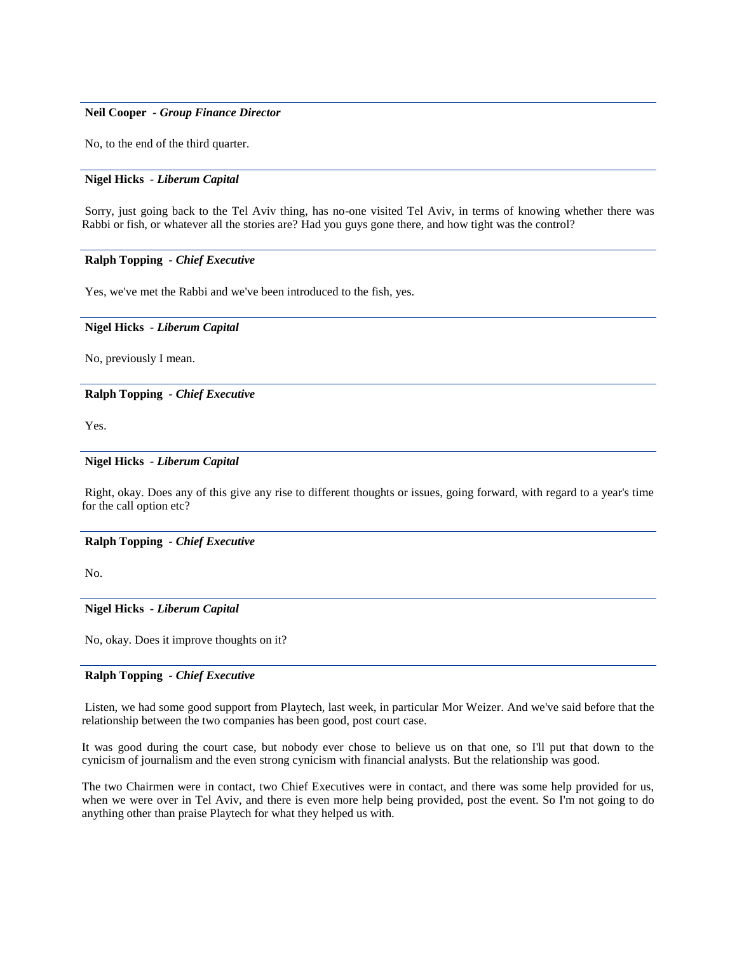### **Neil Cooper** *- Group Finance Director*

No, to the end of the third quarter.

### **Nigel Hicks** *- Liberum Capital*

Sorry, just going back to the Tel Aviv thing, has no-one visited Tel Aviv, in terms of knowing whether there was Rabbi or fish, or whatever all the stories are? Had you guys gone there, and how tight was the control?

### **Ralph Topping** *- Chief Executive*

Yes, we've met the Rabbi and we've been introduced to the fish, yes.

#### **Nigel Hicks** *- Liberum Capital*

No, previously I mean.

#### **Ralph Topping** *- Chief Executive*

Yes.

### **Nigel Hicks** *- Liberum Capital*

Right, okay. Does any of this give any rise to different thoughts or issues, going forward, with regard to a year's time for the call option etc?

#### **Ralph Topping** *- Chief Executive*

No.

### **Nigel Hicks** *- Liberum Capital*

No, okay. Does it improve thoughts on it?

### **Ralph Topping** *- Chief Executive*

Listen, we had some good support from Playtech, last week, in particular Mor Weizer. And we've said before that the relationship between the two companies has been good, post court case.

It was good during the court case, but nobody ever chose to believe us on that one, so I'll put that down to the cynicism of journalism and the even strong cynicism with financial analysts. But the relationship was good.

The two Chairmen were in contact, two Chief Executives were in contact, and there was some help provided for us, when we were over in Tel Aviv, and there is even more help being provided, post the event. So I'm not going to do anything other than praise Playtech for what they helped us with.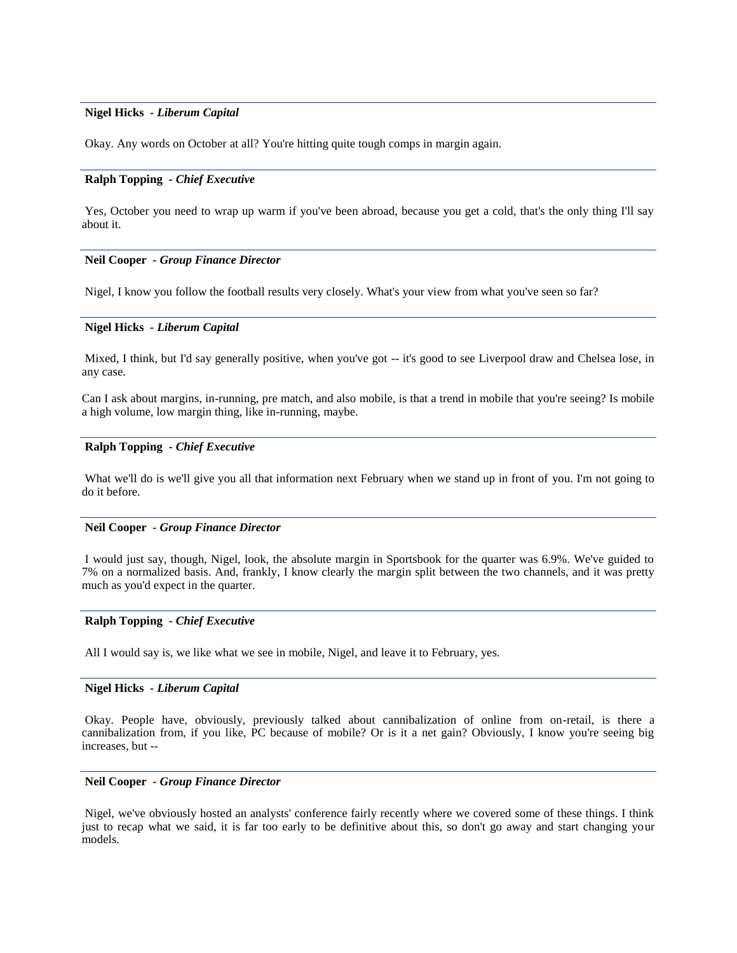### **Nigel Hicks** *- Liberum Capital*

Okay. Any words on October at all? You're hitting quite tough comps in margin again.

#### **Ralph Topping** *- Chief Executive*

Yes, October you need to wrap up warm if you've been abroad, because you get a cold, that's the only thing I'll say about it.

#### **Neil Cooper** *- Group Finance Director*

Nigel, I know you follow the football results very closely. What's your view from what you've seen so far?

#### **Nigel Hicks** *- Liberum Capital*

Mixed, I think, but I'd say generally positive, when you've got -- it's good to see Liverpool draw and Chelsea lose, in any case.

Can I ask about margins, in-running, pre match, and also mobile, is that a trend in mobile that you're seeing? Is mobile a high volume, low margin thing, like in-running, maybe.

#### **Ralph Topping** *- Chief Executive*

What we'll do is we'll give you all that information next February when we stand up in front of you. I'm not going to do it before.

#### **Neil Cooper** *- Group Finance Director*

I would just say, though, Nigel, look, the absolute margin in Sportsbook for the quarter was 6.9%. We've guided to 7% on a normalized basis. And, frankly, I know clearly the margin split between the two channels, and it was pretty much as you'd expect in the quarter.

#### **Ralph Topping** *- Chief Executive*

All I would say is, we like what we see in mobile, Nigel, and leave it to February, yes.

### **Nigel Hicks** *- Liberum Capital*

Okay. People have, obviously, previously talked about cannibalization of online from on-retail, is there a cannibalization from, if you like, PC because of mobile? Or is it a net gain? Obviously, I know you're seeing big increases, but --

### **Neil Cooper** *- Group Finance Director*

Nigel, we've obviously hosted an analysts' conference fairly recently where we covered some of these things. I think just to recap what we said, it is far too early to be definitive about this, so don't go away and start changing your models.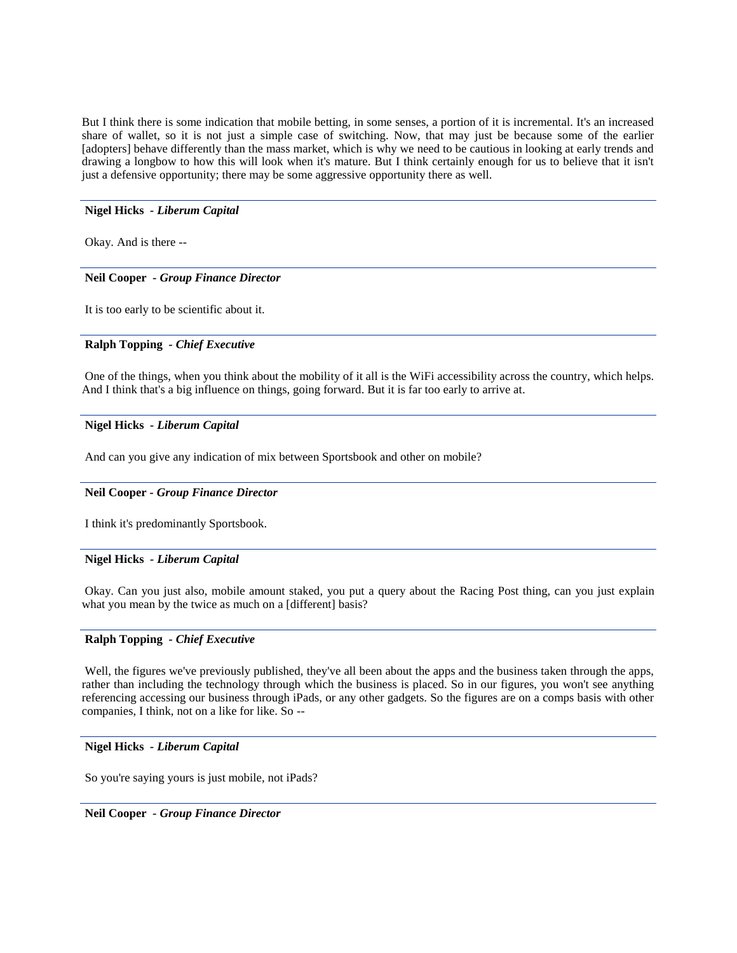But I think there is some indication that mobile betting, in some senses, a portion of it is incremental. It's an increased share of wallet, so it is not just a simple case of switching. Now, that may just be because some of the earlier [adopters] behave differently than the mass market, which is why we need to be cautious in looking at early trends and drawing a longbow to how this will look when it's mature. But I think certainly enough for us to believe that it isn't just a defensive opportunity; there may be some aggressive opportunity there as well.

### **Nigel Hicks** *- Liberum Capital*

Okay. And is there --

### **Neil Cooper** *- Group Finance Director*

It is too early to be scientific about it.

### **Ralph Topping** *- Chief Executive*

One of the things, when you think about the mobility of it all is the WiFi accessibility across the country, which helps. And I think that's a big influence on things, going forward. But it is far too early to arrive at.

### **Nigel Hicks** *- Liberum Capital*

And can you give any indication of mix between Sportsbook and other on mobile?

### **Neil Cooper** *- Group Finance Director*

I think it's predominantly Sportsbook.

### **Nigel Hicks** *- Liberum Capital*

Okay. Can you just also, mobile amount staked, you put a query about the Racing Post thing, can you just explain what you mean by the twice as much on a [different] basis?

## **Ralph Topping** *- Chief Executive*

Well, the figures we've previously published, they've all been about the apps and the business taken through the apps, rather than including the technology through which the business is placed. So in our figures, you won't see anything referencing accessing our business through iPads, or any other gadgets. So the figures are on a comps basis with other companies, I think, not on a like for like. So --

### **Nigel Hicks** *- Liberum Capital*

So you're saying yours is just mobile, not iPads?

**Neil Cooper** *- Group Finance Director*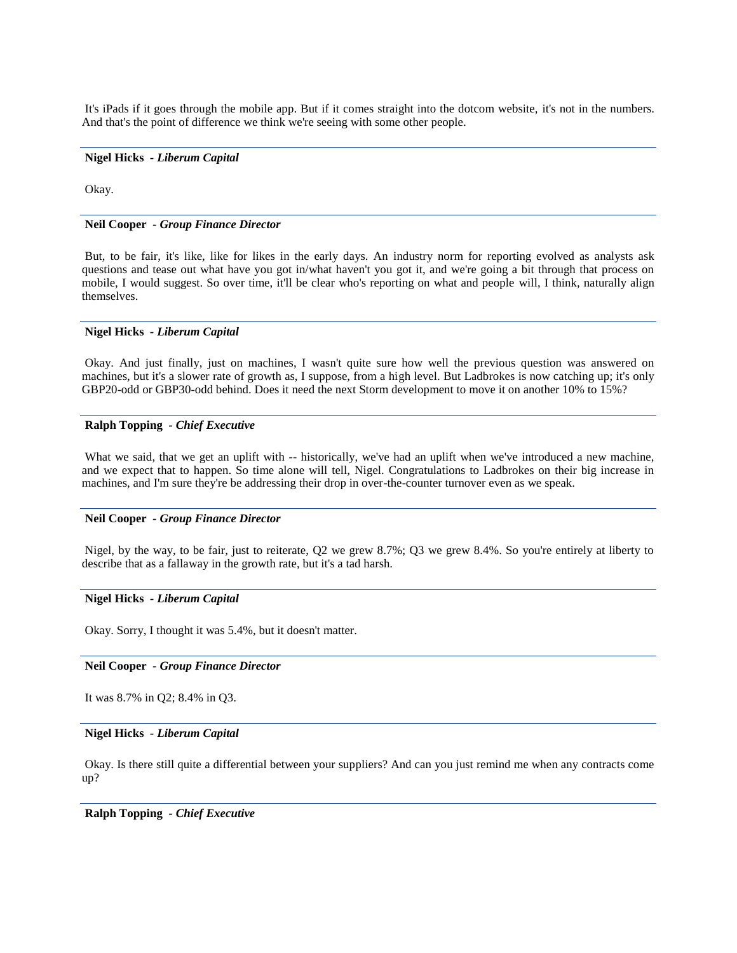It's iPads if it goes through the mobile app. But if it comes straight into the dotcom website, it's not in the numbers. And that's the point of difference we think we're seeing with some other people.

### **Nigel Hicks** *- Liberum Capital*

Okay.

#### **Neil Cooper** *- Group Finance Director*

But, to be fair, it's like, like for likes in the early days. An industry norm for reporting evolved as analysts ask questions and tease out what have you got in/what haven't you got it, and we're going a bit through that process on mobile, I would suggest. So over time, it'll be clear who's reporting on what and people will, I think, naturally align themselves.

### **Nigel Hicks** *- Liberum Capital*

Okay. And just finally, just on machines, I wasn't quite sure how well the previous question was answered on machines, but it's a slower rate of growth as, I suppose, from a high level. But Ladbrokes is now catching up; it's only GBP20-odd or GBP30-odd behind. Does it need the next Storm development to move it on another 10% to 15%?

### **Ralph Topping** *- Chief Executive*

What we said, that we get an uplift with -- historically, we've had an uplift when we've introduced a new machine, and we expect that to happen. So time alone will tell, Nigel. Congratulations to Ladbrokes on their big increase in machines, and I'm sure they're be addressing their drop in over-the-counter turnover even as we speak.

#### **Neil Cooper** *- Group Finance Director*

Nigel, by the way, to be fair, just to reiterate, Q2 we grew 8.7%; Q3 we grew 8.4%. So you're entirely at liberty to describe that as a fallaway in the growth rate, but it's a tad harsh.

### **Nigel Hicks** *- Liberum Capital*

Okay. Sorry, I thought it was 5.4%, but it doesn't matter.

#### **Neil Cooper** *- Group Finance Director*

It was 8.7% in Q2; 8.4% in Q3.

#### **Nigel Hicks** *- Liberum Capital*

Okay. Is there still quite a differential between your suppliers? And can you just remind me when any contracts come up?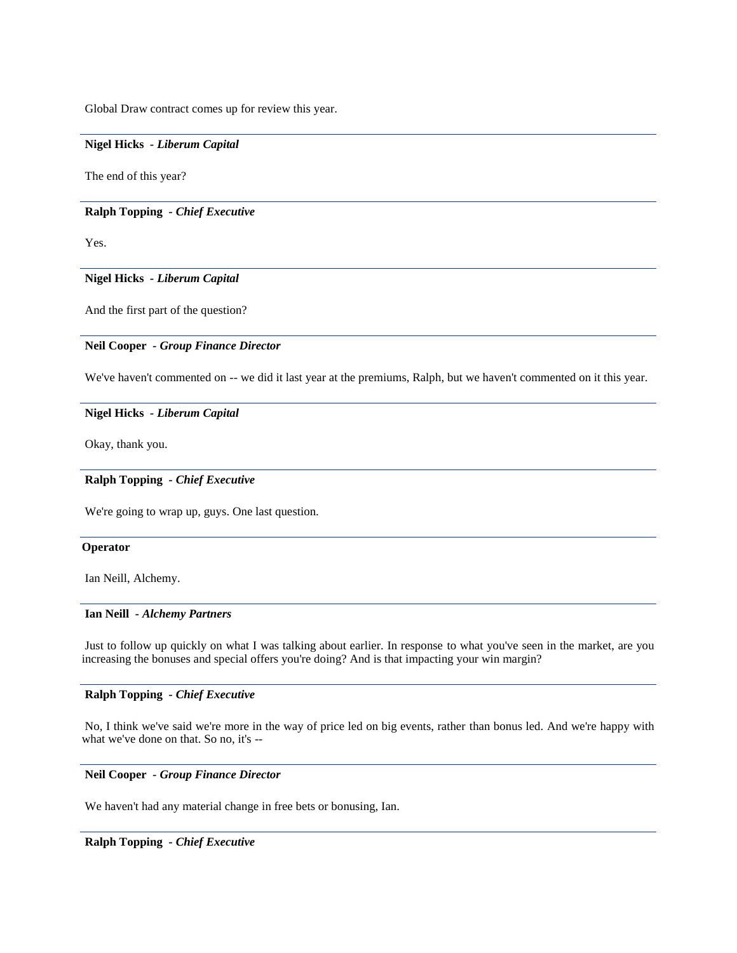Global Draw contract comes up for review this year.

### **Nigel Hicks** *- Liberum Capital*

The end of this year?

### **Ralph Topping** *- Chief Executive*

Yes.

## **Nigel Hicks** *- Liberum Capital*

And the first part of the question?

### **Neil Cooper** *- Group Finance Director*

We've haven't commented on -- we did it last year at the premiums, Ralph, but we haven't commented on it this year.

### **Nigel Hicks** *- Liberum Capital*

Okay, thank you.

### **Ralph Topping** *- Chief Executive*

We're going to wrap up, guys. One last question.

### **Operator**

Ian Neill, Alchemy.

### **Ian Neill** *- Alchemy Partners*

Just to follow up quickly on what I was talking about earlier. In response to what you've seen in the market, are you increasing the bonuses and special offers you're doing? And is that impacting your win margin?

### **Ralph Topping** *- Chief Executive*

No, I think we've said we're more in the way of price led on big events, rather than bonus led. And we're happy with what we've done on that. So no, it's --

### **Neil Cooper** *- Group Finance Director*

We haven't had any material change in free bets or bonusing, Ian.